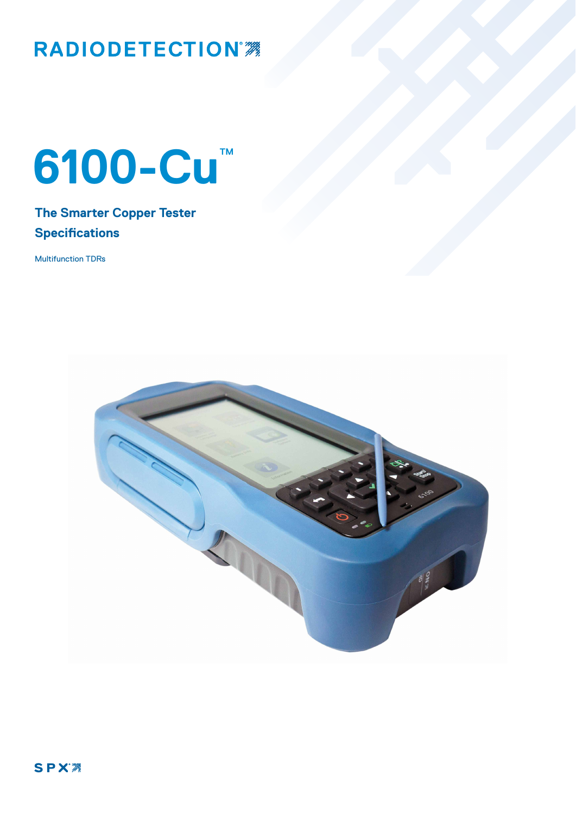## RADIODETECTION<sup>7</sup>

# **6100-Cu**™

### **The Smarter Copper Tester Specifications**

Multifunction TDRs

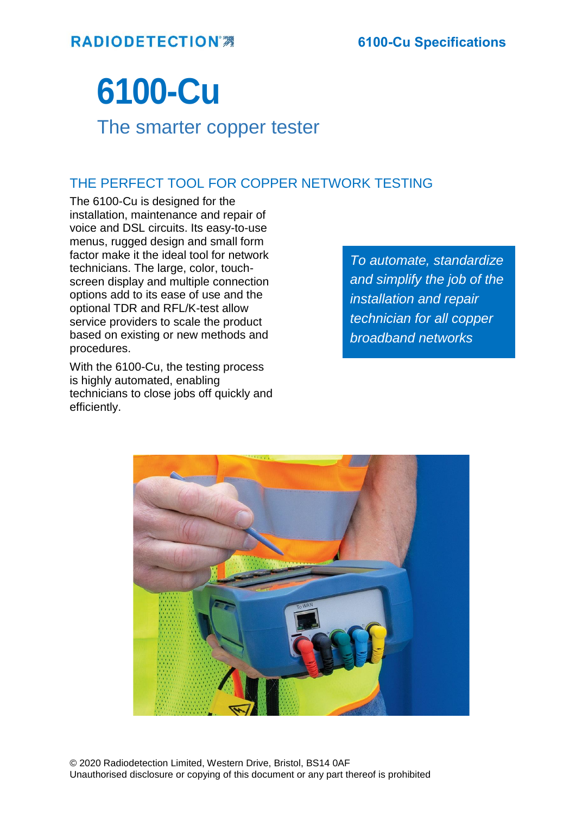## **6100-Cu**

## The smarter copper tester

#### THE PERFECT TOOL FOR COPPER NETWORK TESTING

The 6100-Cu is designed for the installation, maintenance and repair of voice and DSL circuits. Its easy-to-use menus, rugged design and small form factor make it the ideal tool for network technicians. The large, color, touchscreen display and multiple connection options add to its ease of use and the optional TDR and RFL/K-test allow service providers to scale the product based on existing or new methods and procedures.

With the 6100-Cu, the testing process is highly automated, enabling technicians to close jobs off quickly and efficiently.

*To automate, standardize and simplify the job of the installation and repair technician for all copper broadband networks*

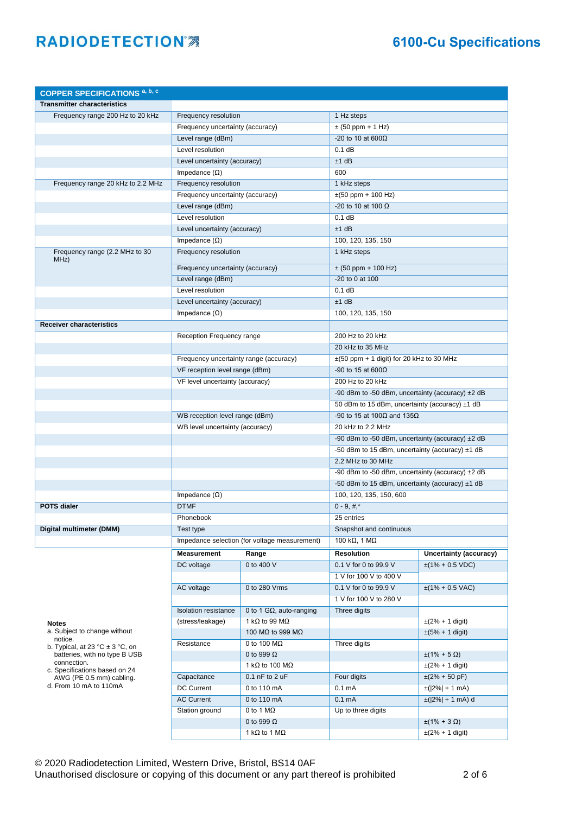| <b>COPPER SPECIFICATIONS a, b, c</b>                                                                                                                                       |                                        |                                               |                                                   |                               |
|----------------------------------------------------------------------------------------------------------------------------------------------------------------------------|----------------------------------------|-----------------------------------------------|---------------------------------------------------|-------------------------------|
| <b>Transmitter characteristics</b>                                                                                                                                         |                                        |                                               |                                                   |                               |
| Frequency range 200 Hz to 20 kHz                                                                                                                                           | Frequency resolution                   |                                               | 1 Hz steps                                        |                               |
|                                                                                                                                                                            | Frequency uncertainty (accuracy)       |                                               | $\pm$ (50 ppm + 1 Hz)                             |                               |
|                                                                                                                                                                            | Level range (dBm)                      |                                               | -20 to 10 at 600 $\Omega$                         |                               |
|                                                                                                                                                                            | Level resolution                       |                                               | 0.1 dB                                            |                               |
|                                                                                                                                                                            | Level uncertainty (accuracy)           |                                               | $±1$ dB                                           |                               |
|                                                                                                                                                                            | Impedance $(\Omega)$                   |                                               | 600                                               |                               |
| Frequency range 20 kHz to 2.2 MHz                                                                                                                                          | Frequency resolution                   |                                               | 1 kHz steps                                       |                               |
|                                                                                                                                                                            | Frequency uncertainty (accuracy)       |                                               | $\pm(50$ ppm + 100 Hz)                            |                               |
|                                                                                                                                                                            | Level range (dBm)                      |                                               | -20 to 10 at 100 $\Omega$                         |                               |
|                                                                                                                                                                            | Level resolution                       |                                               | $0.1$ dB                                          |                               |
|                                                                                                                                                                            | Level uncertainty (accuracy)           |                                               | $±1$ dB                                           |                               |
|                                                                                                                                                                            | Impedance $(\Omega)$                   |                                               | 100, 120, 135, 150                                |                               |
| Frequency range (2.2 MHz to 30<br>MHz)                                                                                                                                     | Frequency resolution                   |                                               | 1 kHz steps                                       |                               |
|                                                                                                                                                                            | Frequency uncertainty (accuracy)       |                                               | $\pm$ (50 ppm + 100 Hz)                           |                               |
|                                                                                                                                                                            | Level range (dBm)                      |                                               | -20 to 0 at 100                                   |                               |
|                                                                                                                                                                            | Level resolution                       |                                               | 0.1 dB                                            |                               |
|                                                                                                                                                                            | Level uncertainty (accuracy)           |                                               | $±1$ dB                                           |                               |
|                                                                                                                                                                            | Impedance $(\Omega)$                   |                                               | 100, 120, 135, 150                                |                               |
| <b>Receiver characteristics</b>                                                                                                                                            |                                        |                                               |                                                   |                               |
|                                                                                                                                                                            | Reception Frequency range              |                                               | 200 Hz to 20 kHz                                  |                               |
|                                                                                                                                                                            |                                        |                                               | 20 kHz to 35 MHz                                  |                               |
|                                                                                                                                                                            | Frequency uncertainty range (accuracy) |                                               | $\pm$ (50 ppm + 1 digit) for 20 kHz to 30 MHz     |                               |
|                                                                                                                                                                            | VF reception level range (dBm)         |                                               | -90 to 15 at 600 $\Omega$                         |                               |
|                                                                                                                                                                            | VF level uncertainty (accuracy)        |                                               | 200 Hz to 20 kHz                                  |                               |
|                                                                                                                                                                            |                                        |                                               | -90 dBm to -50 dBm, uncertainty (accuracy) ±2 dB  |                               |
|                                                                                                                                                                            |                                        |                                               | 50 dBm to 15 dBm, uncertainty (accuracy) ±1 dB    |                               |
|                                                                                                                                                                            | WB reception level range (dBm)         |                                               | -90 to 15 at 100Ω and 135Ω                        |                               |
|                                                                                                                                                                            | WB level uncertainty (accuracy)        |                                               | 20 kHz to 2.2 MHz                                 |                               |
|                                                                                                                                                                            |                                        |                                               | -90 dBm to -50 dBm, uncertainty (accuracy) ±2 dB  |                               |
|                                                                                                                                                                            |                                        |                                               | -50 dBm to 15 dBm, uncertainty (accuracy) $±1$ dB |                               |
|                                                                                                                                                                            |                                        |                                               | 2.2 MHz to 30 MHz                                 |                               |
|                                                                                                                                                                            |                                        |                                               | -90 dBm to -50 dBm, uncertainty (accuracy) ±2 dB  |                               |
|                                                                                                                                                                            |                                        |                                               | -50 dBm to 15 dBm, uncertainty (accuracy) $±1$ dB |                               |
|                                                                                                                                                                            | Impedance $(\Omega)$                   |                                               | 100, 120, 135, 150, 600                           |                               |
| <b>POTS dialer</b>                                                                                                                                                         | <b>DTMF</b>                            |                                               | $0 - 9, #.*$                                      |                               |
|                                                                                                                                                                            | Phonebook                              |                                               | 25 entries                                        |                               |
| Digital multimeter (DMM)                                                                                                                                                   | Test type                              |                                               | Snapshot and continuous                           |                               |
|                                                                                                                                                                            |                                        | Impedance selection (for voltage measurement) | 100 k $\Omega$ , 1 M $\Omega$                     |                               |
|                                                                                                                                                                            |                                        |                                               | <b>Resolution</b>                                 |                               |
|                                                                                                                                                                            | <b>Measurement</b>                     | Range                                         |                                                   | Uncertainty (accuracy)        |
|                                                                                                                                                                            | DC voltage                             | 0 to 400 V                                    | 0.1 V for 0 to 99.9 V                             | $\pm$ (1% + 0.5 VDC)          |
|                                                                                                                                                                            |                                        |                                               | 1 V for 100 V to 400 V                            |                               |
|                                                                                                                                                                            | AC voltage                             | 0 to 280 Vrms                                 | 0.1 V for 0 to 99.9 V                             | $±(1\% + 0.5$ VAC)            |
|                                                                                                                                                                            |                                        |                                               | 1 V for 100 V to 280 V                            |                               |
|                                                                                                                                                                            | <b>Isolation resistance</b>            | 0 to 1 G $\Omega$ , auto-ranging              | Three digits                                      |                               |
| <b>Notes</b><br>a. Subject to change without                                                                                                                               | (stress/leakage)                       | 1 k $\Omega$ to 99 M $\Omega$                 |                                                   | $\pm (2\% + 1 \text{ digit})$ |
| notice.                                                                                                                                                                    |                                        | 100 MΩ to 999 MΩ                              |                                                   | $\pm (5\% + 1 \text{ digit})$ |
| b. Typical, at 23 °C $\pm$ 3 °C, on<br>batteries, with no type B USB<br>connection.<br>c. Specifications based on 24<br>AWG (PE 0.5 mm) cabling.<br>d. From 10 mA to 110mA | Resistance                             | 0 to 100 $M\Omega$                            | Three digits                                      |                               |
|                                                                                                                                                                            |                                        | 0 to 999 $\Omega$                             |                                                   | $\pm(1\% + 5 \Omega)$         |
|                                                                                                                                                                            |                                        | 1 k $\Omega$ to 100 M $\Omega$                |                                                   | $\pm (2\% + 1 \text{ digit})$ |
|                                                                                                                                                                            | Capacitance                            | $0.1$ nF to 2 uF                              | Four digits                                       | $\pm(2\% + 50 \text{ pF})$    |
|                                                                                                                                                                            | DC Current                             | 0 to 110 mA                                   | 0.1 <sub>m</sub> A                                | $\pm (2\% + 1 \text{ mA})$    |
|                                                                                                                                                                            | <b>AC Current</b>                      | 0 to 110 mA                                   | 0.1 <sub>m</sub> A                                | $\pm( 2\%  + 1$ mA) d         |
|                                                                                                                                                                            | Station ground                         | 0 to 1 $M\Omega$                              | Up to three digits                                |                               |
|                                                                                                                                                                            |                                        | 0 to 999 $\Omega$                             |                                                   | $\pm (1\% + 3 \Omega)$        |
|                                                                                                                                                                            |                                        | 1 k $\Omega$ to 1 M $\Omega$                  |                                                   | $\pm (2\% + 1 \text{ digit})$ |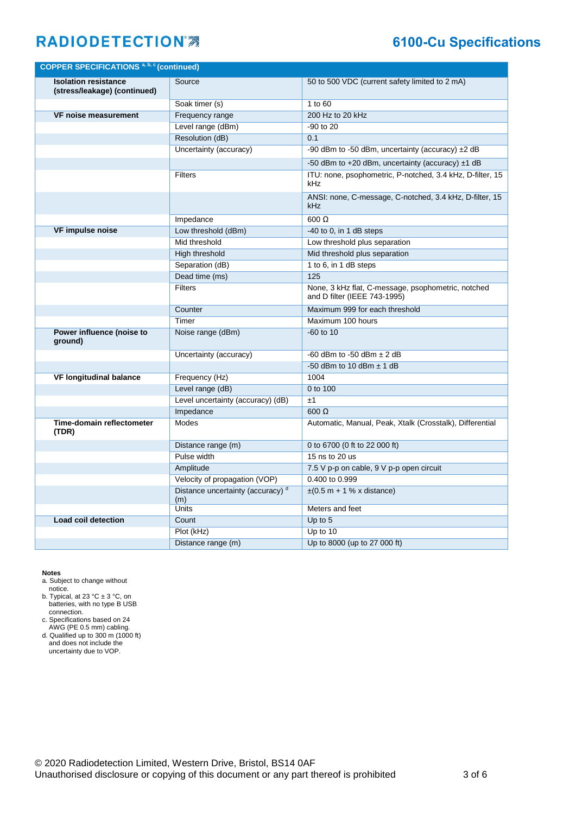#### **6100-Cu Specifications**

| <b>COPPER SPECIFICATIONS a, b, c (continued)</b>            |                                                     |                                                                                    |
|-------------------------------------------------------------|-----------------------------------------------------|------------------------------------------------------------------------------------|
| <b>Isolation resistance</b><br>(stress/leakage) (continued) | Source                                              | 50 to 500 VDC (current safety limited to 2 mA)                                     |
|                                                             | Soak timer (s)                                      | 1 to 60                                                                            |
| <b>VF noise measurement</b>                                 | Frequency range                                     | 200 Hz to 20 kHz                                                                   |
|                                                             | Level range (dBm)                                   | -90 to 20                                                                          |
|                                                             | Resolution (dB)                                     | 0.1                                                                                |
|                                                             | Uncertainty (accuracy)                              | -90 dBm to -50 dBm, uncertainty (accuracy) $\pm 2$ dB                              |
|                                                             |                                                     | -50 dBm to +20 dBm, uncertainty (accuracy) $\pm$ 1 dB                              |
|                                                             | <b>Filters</b>                                      | ITU: none, psophometric, P-notched, 3.4 kHz, D-filter, 15<br>kHz                   |
|                                                             |                                                     | ANSI: none, C-message, C-notched, 3.4 kHz, D-filter, 15<br>kHz                     |
|                                                             | Impedance                                           | $600 \Omega$                                                                       |
| <b>VF impulse noise</b>                                     | Low threshold (dBm)                                 | $-40$ to 0, in 1 dB steps                                                          |
|                                                             | Mid threshold                                       | Low threshold plus separation                                                      |
|                                                             | High threshold                                      | Mid threshold plus separation                                                      |
|                                                             | Separation (dB)                                     | 1 to 6, in 1 dB steps                                                              |
|                                                             | Dead time (ms)                                      | 125                                                                                |
|                                                             | <b>Filters</b>                                      | None, 3 kHz flat, C-message, psophometric, notched<br>and D filter (IEEE 743-1995) |
|                                                             | Counter                                             | Maximum 999 for each threshold                                                     |
|                                                             | Timer                                               | Maximum 100 hours                                                                  |
| Power influence (noise to<br>ground)                        | Noise range (dBm)                                   | $-60$ to 10                                                                        |
|                                                             | Uncertainty (accuracy)                              | -60 dBm to -50 dBm $\pm$ 2 dB                                                      |
|                                                             |                                                     | -50 dBm to 10 dBm $\pm$ 1 dB                                                       |
| <b>VF longitudinal balance</b>                              | Frequency (Hz)                                      | 1004                                                                               |
|                                                             | Level range (dB)                                    | 0 to 100                                                                           |
|                                                             | Level uncertainty (accuracy) (dB)                   | ±1                                                                                 |
|                                                             | Impedance                                           | $600 \Omega$                                                                       |
| Time-domain reflectometer<br>(TDR)                          | Modes                                               | Automatic, Manual, Peak, Xtalk (Crosstalk), Differential                           |
|                                                             | Distance range (m)                                  | 0 to 6700 (0 ft to 22 000 ft)                                                      |
|                                                             | Pulse width                                         | 15 ns to 20 us                                                                     |
|                                                             | Amplitude                                           | 7.5 V p-p on cable, 9 V p-p open circuit                                           |
|                                                             | Velocity of propagation (VOP)                       | 0.400 to 0.999                                                                     |
|                                                             | Distance uncertainty (accuracy) <sup>d</sup><br>(m) | $\pm(0.5 \text{ m} + 1\% \times \text{distance})$                                  |
|                                                             | Units                                               | Meters and feet                                                                    |
| Load coil detection                                         | Count                                               | Up to $5$                                                                          |
|                                                             | Plot (kHz)                                          | Up to 10                                                                           |
|                                                             | Distance range (m)                                  | Up to 8000 (up to 27 000 ft)                                                       |

**Notes**

- a. Subject to change without notice.
- b. Typical, at 23  $^{\circ}$ C  $\pm$  3  $^{\circ}$ C, on batteries, with no type B USB connection.
- c. Specifications based on 24 AWG (PE 0.5 mm) cabling.
- d. Qualified up to 300 m (1000 ft) and does not include the uncertainty due to VOP.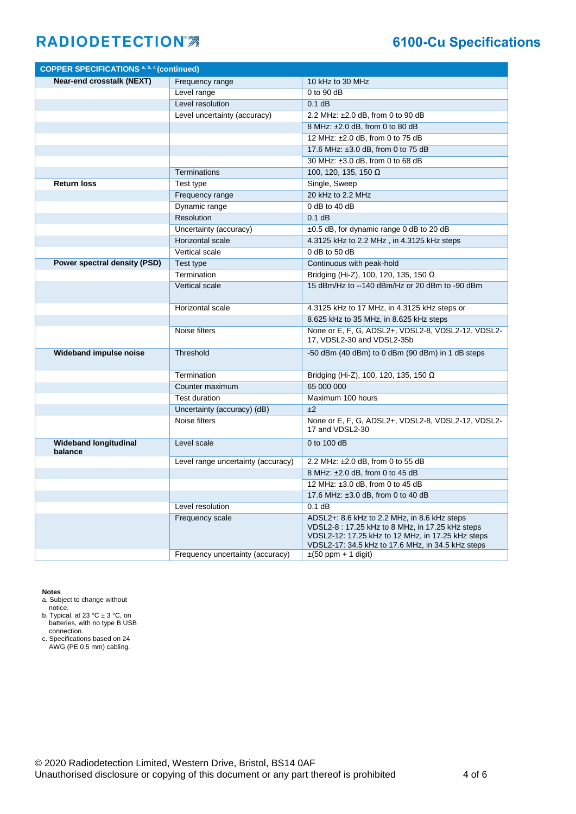#### **6100-Cu Specifications**

| Near-end crosstalk (NEXT)<br>Frequency range<br>10 kHz to 30 MHz<br>Level range<br>$0$ to 90 dB<br>0.1 dB<br>Level resolution<br>Level uncertainty (accuracy)<br>2.2 MHz: ±2.0 dB, from 0 to 90 dB<br>8 MHz: ±2.0 dB, from 0 to 80 dB<br>12 MHz: ±2.0 dB, from 0 to 75 dB<br>17.6 MHz: ±3.0 dB, from 0 to 75 dB<br>30 MHz: ±3.0 dB. from 0 to 68 dB<br>Terminations<br>100, 120, 135, 150 $\Omega$<br>Single, Sweep<br><b>Return loss</b><br>Test type<br>20 kHz to 2.2 MHz<br>Frequency range<br>$0$ dB to 40 dB<br>Dynamic range<br>Resolution<br>$0.1$ dB<br>$\pm 0.5$ dB, for dynamic range 0 dB to 20 dB<br>Uncertainty (accuracy)<br>Horizontal scale<br>4.3125 kHz to 2.2 MHz, in 4.3125 kHz steps<br>Vertical scale<br>$0$ dB to 50 dB<br>Power spectral density (PSD)<br>Continuous with peak-hold<br>Test type<br>Termination<br>Bridging (Hi-Z), 100, 120, 135, 150 $\Omega$<br>15 dBm/Hz to --140 dBm/Hz or 20 dBm to -90 dBm<br>Vertical scale<br>Horizontal scale<br>4.3125 kHz to 17 MHz, in 4.3125 kHz steps or<br>8.625 kHz to 35 MHz, in 8.625 kHz steps<br>None or E, F, G, ADSL2+, VDSL2-8, VDSL2-12, VDSL2-<br>Noise filters<br>17, VDSL2-30 and VDSL2-35b<br>Threshold<br><b>Wideband impulse noise</b><br>-50 dBm (40 dBm) to 0 dBm (90 dBm) in 1 dB steps<br>Termination<br>Bridging (Hi-Z), 100, 120, 135, 150 Ω<br>65 000 000<br>Counter maximum<br>Maximum 100 hours<br><b>Test duration</b><br>±2<br>Uncertainty (accuracy) (dB)<br>Noise filters<br>None or E, F, G, ADSL2+, VDSL2-8, VDSL2-12, VDSL2-<br>17 and VDSL2-30<br>$0$ to 100 dB<br><b>Wideband longitudinal</b><br>Level scale<br>balance<br>Level range uncertainty (accuracy)<br>2.2 MHz: ±2.0 dB, from 0 to 55 dB<br>8 MHz: ±2.0 dB, from 0 to 45 dB | <b>COPPER SPECIFICATIONS a, b, c (continued)</b> |  |
|-------------------------------------------------------------------------------------------------------------------------------------------------------------------------------------------------------------------------------------------------------------------------------------------------------------------------------------------------------------------------------------------------------------------------------------------------------------------------------------------------------------------------------------------------------------------------------------------------------------------------------------------------------------------------------------------------------------------------------------------------------------------------------------------------------------------------------------------------------------------------------------------------------------------------------------------------------------------------------------------------------------------------------------------------------------------------------------------------------------------------------------------------------------------------------------------------------------------------------------------------------------------------------------------------------------------------------------------------------------------------------------------------------------------------------------------------------------------------------------------------------------------------------------------------------------------------------------------------------------------------------------------------------------------------------------------------------------------------------------------------|--------------------------------------------------|--|
|                                                                                                                                                                                                                                                                                                                                                                                                                                                                                                                                                                                                                                                                                                                                                                                                                                                                                                                                                                                                                                                                                                                                                                                                                                                                                                                                                                                                                                                                                                                                                                                                                                                                                                                                                 |                                                  |  |
|                                                                                                                                                                                                                                                                                                                                                                                                                                                                                                                                                                                                                                                                                                                                                                                                                                                                                                                                                                                                                                                                                                                                                                                                                                                                                                                                                                                                                                                                                                                                                                                                                                                                                                                                                 |                                                  |  |
|                                                                                                                                                                                                                                                                                                                                                                                                                                                                                                                                                                                                                                                                                                                                                                                                                                                                                                                                                                                                                                                                                                                                                                                                                                                                                                                                                                                                                                                                                                                                                                                                                                                                                                                                                 |                                                  |  |
|                                                                                                                                                                                                                                                                                                                                                                                                                                                                                                                                                                                                                                                                                                                                                                                                                                                                                                                                                                                                                                                                                                                                                                                                                                                                                                                                                                                                                                                                                                                                                                                                                                                                                                                                                 |                                                  |  |
|                                                                                                                                                                                                                                                                                                                                                                                                                                                                                                                                                                                                                                                                                                                                                                                                                                                                                                                                                                                                                                                                                                                                                                                                                                                                                                                                                                                                                                                                                                                                                                                                                                                                                                                                                 |                                                  |  |
|                                                                                                                                                                                                                                                                                                                                                                                                                                                                                                                                                                                                                                                                                                                                                                                                                                                                                                                                                                                                                                                                                                                                                                                                                                                                                                                                                                                                                                                                                                                                                                                                                                                                                                                                                 |                                                  |  |
|                                                                                                                                                                                                                                                                                                                                                                                                                                                                                                                                                                                                                                                                                                                                                                                                                                                                                                                                                                                                                                                                                                                                                                                                                                                                                                                                                                                                                                                                                                                                                                                                                                                                                                                                                 |                                                  |  |
|                                                                                                                                                                                                                                                                                                                                                                                                                                                                                                                                                                                                                                                                                                                                                                                                                                                                                                                                                                                                                                                                                                                                                                                                                                                                                                                                                                                                                                                                                                                                                                                                                                                                                                                                                 |                                                  |  |
|                                                                                                                                                                                                                                                                                                                                                                                                                                                                                                                                                                                                                                                                                                                                                                                                                                                                                                                                                                                                                                                                                                                                                                                                                                                                                                                                                                                                                                                                                                                                                                                                                                                                                                                                                 |                                                  |  |
|                                                                                                                                                                                                                                                                                                                                                                                                                                                                                                                                                                                                                                                                                                                                                                                                                                                                                                                                                                                                                                                                                                                                                                                                                                                                                                                                                                                                                                                                                                                                                                                                                                                                                                                                                 |                                                  |  |
|                                                                                                                                                                                                                                                                                                                                                                                                                                                                                                                                                                                                                                                                                                                                                                                                                                                                                                                                                                                                                                                                                                                                                                                                                                                                                                                                                                                                                                                                                                                                                                                                                                                                                                                                                 |                                                  |  |
|                                                                                                                                                                                                                                                                                                                                                                                                                                                                                                                                                                                                                                                                                                                                                                                                                                                                                                                                                                                                                                                                                                                                                                                                                                                                                                                                                                                                                                                                                                                                                                                                                                                                                                                                                 |                                                  |  |
|                                                                                                                                                                                                                                                                                                                                                                                                                                                                                                                                                                                                                                                                                                                                                                                                                                                                                                                                                                                                                                                                                                                                                                                                                                                                                                                                                                                                                                                                                                                                                                                                                                                                                                                                                 |                                                  |  |
|                                                                                                                                                                                                                                                                                                                                                                                                                                                                                                                                                                                                                                                                                                                                                                                                                                                                                                                                                                                                                                                                                                                                                                                                                                                                                                                                                                                                                                                                                                                                                                                                                                                                                                                                                 |                                                  |  |
|                                                                                                                                                                                                                                                                                                                                                                                                                                                                                                                                                                                                                                                                                                                                                                                                                                                                                                                                                                                                                                                                                                                                                                                                                                                                                                                                                                                                                                                                                                                                                                                                                                                                                                                                                 |                                                  |  |
|                                                                                                                                                                                                                                                                                                                                                                                                                                                                                                                                                                                                                                                                                                                                                                                                                                                                                                                                                                                                                                                                                                                                                                                                                                                                                                                                                                                                                                                                                                                                                                                                                                                                                                                                                 |                                                  |  |
|                                                                                                                                                                                                                                                                                                                                                                                                                                                                                                                                                                                                                                                                                                                                                                                                                                                                                                                                                                                                                                                                                                                                                                                                                                                                                                                                                                                                                                                                                                                                                                                                                                                                                                                                                 |                                                  |  |
|                                                                                                                                                                                                                                                                                                                                                                                                                                                                                                                                                                                                                                                                                                                                                                                                                                                                                                                                                                                                                                                                                                                                                                                                                                                                                                                                                                                                                                                                                                                                                                                                                                                                                                                                                 |                                                  |  |
|                                                                                                                                                                                                                                                                                                                                                                                                                                                                                                                                                                                                                                                                                                                                                                                                                                                                                                                                                                                                                                                                                                                                                                                                                                                                                                                                                                                                                                                                                                                                                                                                                                                                                                                                                 |                                                  |  |
|                                                                                                                                                                                                                                                                                                                                                                                                                                                                                                                                                                                                                                                                                                                                                                                                                                                                                                                                                                                                                                                                                                                                                                                                                                                                                                                                                                                                                                                                                                                                                                                                                                                                                                                                                 |                                                  |  |
|                                                                                                                                                                                                                                                                                                                                                                                                                                                                                                                                                                                                                                                                                                                                                                                                                                                                                                                                                                                                                                                                                                                                                                                                                                                                                                                                                                                                                                                                                                                                                                                                                                                                                                                                                 |                                                  |  |
|                                                                                                                                                                                                                                                                                                                                                                                                                                                                                                                                                                                                                                                                                                                                                                                                                                                                                                                                                                                                                                                                                                                                                                                                                                                                                                                                                                                                                                                                                                                                                                                                                                                                                                                                                 |                                                  |  |
|                                                                                                                                                                                                                                                                                                                                                                                                                                                                                                                                                                                                                                                                                                                                                                                                                                                                                                                                                                                                                                                                                                                                                                                                                                                                                                                                                                                                                                                                                                                                                                                                                                                                                                                                                 |                                                  |  |
|                                                                                                                                                                                                                                                                                                                                                                                                                                                                                                                                                                                                                                                                                                                                                                                                                                                                                                                                                                                                                                                                                                                                                                                                                                                                                                                                                                                                                                                                                                                                                                                                                                                                                                                                                 |                                                  |  |
|                                                                                                                                                                                                                                                                                                                                                                                                                                                                                                                                                                                                                                                                                                                                                                                                                                                                                                                                                                                                                                                                                                                                                                                                                                                                                                                                                                                                                                                                                                                                                                                                                                                                                                                                                 |                                                  |  |
|                                                                                                                                                                                                                                                                                                                                                                                                                                                                                                                                                                                                                                                                                                                                                                                                                                                                                                                                                                                                                                                                                                                                                                                                                                                                                                                                                                                                                                                                                                                                                                                                                                                                                                                                                 |                                                  |  |
|                                                                                                                                                                                                                                                                                                                                                                                                                                                                                                                                                                                                                                                                                                                                                                                                                                                                                                                                                                                                                                                                                                                                                                                                                                                                                                                                                                                                                                                                                                                                                                                                                                                                                                                                                 |                                                  |  |
|                                                                                                                                                                                                                                                                                                                                                                                                                                                                                                                                                                                                                                                                                                                                                                                                                                                                                                                                                                                                                                                                                                                                                                                                                                                                                                                                                                                                                                                                                                                                                                                                                                                                                                                                                 |                                                  |  |
|                                                                                                                                                                                                                                                                                                                                                                                                                                                                                                                                                                                                                                                                                                                                                                                                                                                                                                                                                                                                                                                                                                                                                                                                                                                                                                                                                                                                                                                                                                                                                                                                                                                                                                                                                 |                                                  |  |
|                                                                                                                                                                                                                                                                                                                                                                                                                                                                                                                                                                                                                                                                                                                                                                                                                                                                                                                                                                                                                                                                                                                                                                                                                                                                                                                                                                                                                                                                                                                                                                                                                                                                                                                                                 |                                                  |  |
|                                                                                                                                                                                                                                                                                                                                                                                                                                                                                                                                                                                                                                                                                                                                                                                                                                                                                                                                                                                                                                                                                                                                                                                                                                                                                                                                                                                                                                                                                                                                                                                                                                                                                                                                                 |                                                  |  |
|                                                                                                                                                                                                                                                                                                                                                                                                                                                                                                                                                                                                                                                                                                                                                                                                                                                                                                                                                                                                                                                                                                                                                                                                                                                                                                                                                                                                                                                                                                                                                                                                                                                                                                                                                 |                                                  |  |
| 12 MHz: ±3.0 dB, from 0 to 45 dB                                                                                                                                                                                                                                                                                                                                                                                                                                                                                                                                                                                                                                                                                                                                                                                                                                                                                                                                                                                                                                                                                                                                                                                                                                                                                                                                                                                                                                                                                                                                                                                                                                                                                                                |                                                  |  |
| 17.6 MHz: ±3.0 dB, from 0 to 40 dB                                                                                                                                                                                                                                                                                                                                                                                                                                                                                                                                                                                                                                                                                                                                                                                                                                                                                                                                                                                                                                                                                                                                                                                                                                                                                                                                                                                                                                                                                                                                                                                                                                                                                                              |                                                  |  |
| Level resolution<br>$0.1$ dB                                                                                                                                                                                                                                                                                                                                                                                                                                                                                                                                                                                                                                                                                                                                                                                                                                                                                                                                                                                                                                                                                                                                                                                                                                                                                                                                                                                                                                                                                                                                                                                                                                                                                                                    |                                                  |  |
| Frequency scale<br>ADSL2+: 8.6 kHz to 2.2 MHz, in 8.6 kHz steps<br>VDSL2-8: 17.25 kHz to 8 MHz, in 17.25 kHz steps<br>VDSL2-12: 17.25 kHz to 12 MHz, in 17.25 kHz steps<br>VDSL2-17: 34.5 kHz to 17.6 MHz, in 34.5 kHz steps                                                                                                                                                                                                                                                                                                                                                                                                                                                                                                                                                                                                                                                                                                                                                                                                                                                                                                                                                                                                                                                                                                                                                                                                                                                                                                                                                                                                                                                                                                                    |                                                  |  |
| Frequency uncertainty (accuracy)<br>$\pm(50$ ppm + 1 digit)                                                                                                                                                                                                                                                                                                                                                                                                                                                                                                                                                                                                                                                                                                                                                                                                                                                                                                                                                                                                                                                                                                                                                                                                                                                                                                                                                                                                                                                                                                                                                                                                                                                                                     |                                                  |  |

**Notes**

a. Subject to change without

notice.

b. Typical, at 23  $^{\circ}$ C  $\pm$  3  $^{\circ}$ C, on batteries, with no type B USB connection.

c. Specifications based on 24 AWG (PE 0.5 mm) cabling.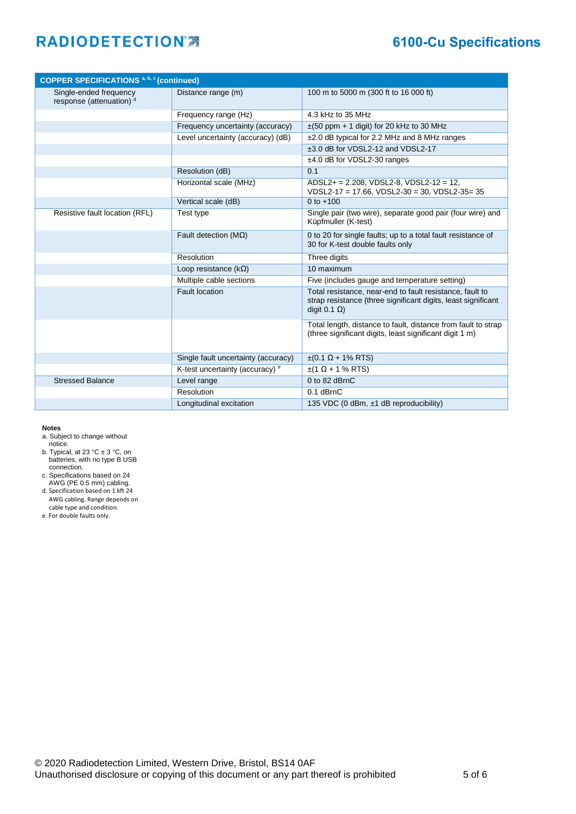#### **6100-Cu Specifications**

| <b>COPPER SPECIFICATIONS a, b, c (continued)</b>   |                                            |                                                                                                                                                   |
|----------------------------------------------------|--------------------------------------------|---------------------------------------------------------------------------------------------------------------------------------------------------|
| Single-ended frequency<br>response (attenuation) d | Distance range (m)                         | 100 m to 5000 m (300 ft to 16 000 ft)                                                                                                             |
|                                                    | Frequency range (Hz)                       | 4.3 kHz to 35 MHz                                                                                                                                 |
|                                                    | Frequency uncertainty (accuracy)           | $\pm$ (50 ppm + 1 digit) for 20 kHz to 30 MHz                                                                                                     |
|                                                    | Level uncertainty (accuracy) (dB)          | ±2.0 dB typical for 2.2 MHz and 8 MHz ranges                                                                                                      |
|                                                    |                                            | ±3.0 dB for VDSL2-12 and VDSL2-17                                                                                                                 |
|                                                    |                                            | ±4.0 dB for VDSL2-30 ranges                                                                                                                       |
|                                                    | Resolution (dB)                            | 0.1                                                                                                                                               |
|                                                    | Horizontal scale (MHz)                     | $ADSL2+ = 2.208$ , VDSL2-8, VDSL2-12 = 12,<br>VDSL2-17 = 17.66, VDSL2-30 = 30, VDSL2-35= 35                                                       |
|                                                    | Vertical scale (dB)                        | 0 to $+100$                                                                                                                                       |
| Resistive fault location (RFL)                     | Test type                                  | Single pair (two wire), separate good pair (four wire) and<br>Küpfmuller (K-test)                                                                 |
|                                                    | Fault detection ( $M\Omega$ )              | 0 to 20 for single faults; up to a total fault resistance of<br>30 for K-test double faults only                                                  |
|                                                    | Resolution                                 | Three digits                                                                                                                                      |
|                                                    | Loop resistance $(k\Omega)$                | 10 maximum                                                                                                                                        |
|                                                    | Multiple cable sections                    | Five (includes gauge and temperature setting)                                                                                                     |
|                                                    | <b>Fault location</b>                      | Total resistance, near-end to fault resistance, fault to<br>strap resistance (three significant digits, least significant<br>digit $0.1 \Omega$ ) |
|                                                    |                                            | Total length, distance to fault, distance from fault to strap<br>(three significant digits, least significant digit 1 m)                          |
|                                                    | Single fault uncertainty (accuracy)        | $±$ (0.1 Ω + 1% RTS)                                                                                                                              |
|                                                    | K-test uncertainty (accuracy) <sup>e</sup> | $±$ (1 Ω + 1 % RTS)                                                                                                                               |
| <b>Stressed Balance</b>                            | Level range                                | 0 to 82 dBrnC                                                                                                                                     |
|                                                    | Resolution                                 | $0.1$ dBrnC                                                                                                                                       |
|                                                    | Longitudinal excitation                    | 135 VDC (0 dBm, ±1 dB reproducibility)                                                                                                            |

#### **Notes**

- a. Subject to change without notice.
- b. Typical, at 23 °C ± 3 °C, on batteries, with no type B USB connection.
- c. Specifications based on 24
- AWG (PE 0.5 mm) cabling.
- d. Specification based on 1 kft 24 AWG cabling. Range depends on cable type and condition.
- e. For double faults only.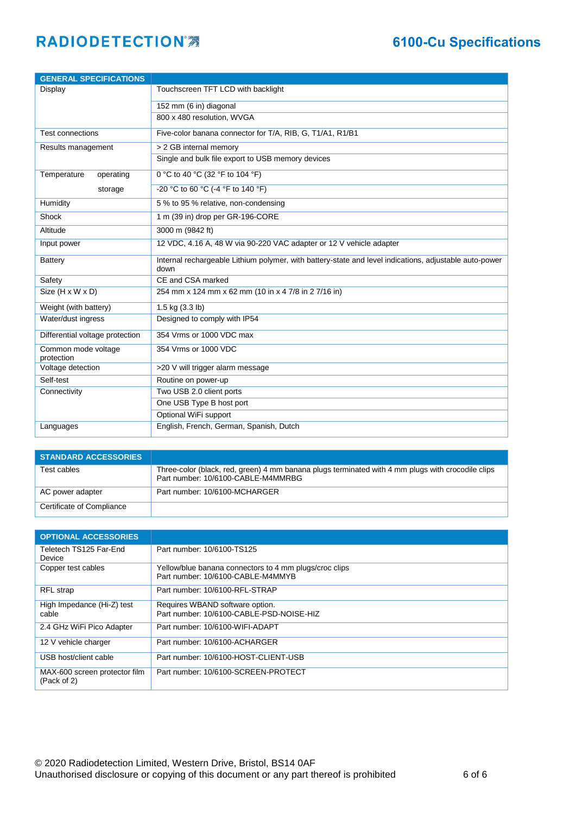| <b>GENERAL SPECIFICATIONS</b>     |                                                                                                                |  |
|-----------------------------------|----------------------------------------------------------------------------------------------------------------|--|
| Display                           | Touchscreen TFT LCD with backlight                                                                             |  |
|                                   | 152 mm (6 in) diagonal                                                                                         |  |
|                                   | 800 x 480 resolution, WVGA                                                                                     |  |
| <b>Test connections</b>           | Five-color banana connector for T/A, RIB, G, T1/A1, R1/B1                                                      |  |
| Results management                | > 2 GB internal memory                                                                                         |  |
|                                   | Single and bulk file export to USB memory devices                                                              |  |
| Temperature<br>operating          | 0 °C to 40 °C (32 °F to 104 °F)                                                                                |  |
| storage                           | -20 °C to 60 °C (-4 °F to 140 °F)                                                                              |  |
| Humidity                          | 5 % to 95 % relative, non-condensing                                                                           |  |
| Shock                             | 1 m (39 in) drop per GR-196-CORE                                                                               |  |
| Altitude                          | 3000 m (9842 ft)                                                                                               |  |
| Input power                       | 12 VDC, 4.16 A, 48 W via 90-220 VAC adapter or 12 V vehicle adapter                                            |  |
| <b>Battery</b>                    | Internal rechargeable Lithium polymer, with battery-state and level indications, adjustable auto-power<br>down |  |
| Safety                            | CE and CSA marked                                                                                              |  |
| Size (H x W x D)                  | 254 mm x 124 mm x 62 mm (10 in x 4 7/8 in 2 7/16 in)                                                           |  |
| Weight (with battery)             | 1.5 kg (3.3 lb)                                                                                                |  |
| Water/dust ingress                | Designed to comply with IP54                                                                                   |  |
| Differential voltage protection   | 354 Vrms or 1000 VDC max                                                                                       |  |
| Common mode voltage<br>protection | 354 Vrms or 1000 VDC                                                                                           |  |
| Voltage detection                 | >20 V will trigger alarm message                                                                               |  |
| Self-test                         | Routine on power-up                                                                                            |  |
| Connectivity                      | Two USB 2.0 client ports                                                                                       |  |
|                                   | One USB Type B host port                                                                                       |  |
|                                   | Optional WiFi support                                                                                          |  |
| Languages                         | English, French, German, Spanish, Dutch                                                                        |  |

| <b>STANDARD ACCESSORIES</b> |                                                                                                                                         |
|-----------------------------|-----------------------------------------------------------------------------------------------------------------------------------------|
| Test cables                 | Three-color (black, red, green) 4 mm banana plugs terminated with 4 mm plugs with crocodile clips<br>Part number: 10/6100-CABLE-M4MMRBG |
| AC power adapter            | Part number: 10/6100-MCHARGER                                                                                                           |
| Certificate of Compliance   |                                                                                                                                         |

| <b>OPTIONAL ACCESSORIES</b>                  |                                                                                             |
|----------------------------------------------|---------------------------------------------------------------------------------------------|
| Teletech TS125 Far-End<br>Device             | Part number: 10/6100-TS125                                                                  |
| Copper test cables                           | Yellow/blue banana connectors to 4 mm plugs/croc clips<br>Part number: 10/6100-CABLE-M4MMYB |
| RFL strap                                    | Part number: 10/6100-RFL-STRAP                                                              |
| High Impedance (Hi-Z) test<br>cable          | Requires WBAND software option.<br>Part number: 10/6100-CABLE-PSD-NOISE-HIZ                 |
| 2.4 GHz WiFi Pico Adapter                    | Part number: 10/6100-WIFI-ADAPT                                                             |
| 12 V vehicle charger                         | Part number: 10/6100-ACHARGER                                                               |
| USB host/client cable                        | Part number: 10/6100-HOST-CLIENT-USB                                                        |
| MAX-600 screen protector film<br>(Pack of 2) | Part number: 10/6100-SCREEN-PROTECT                                                         |